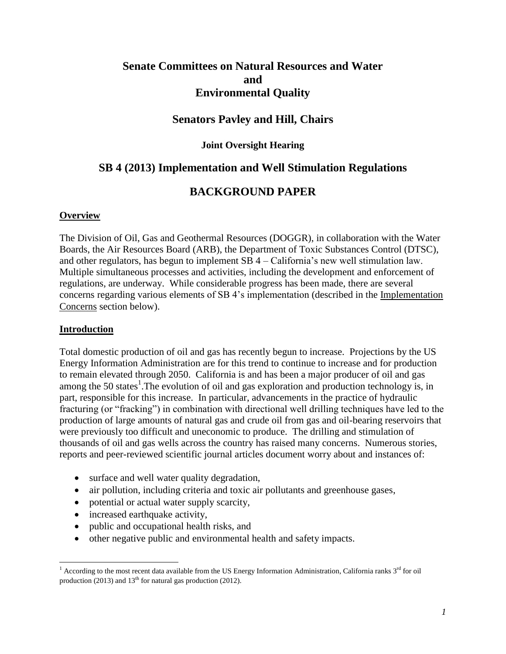## **Senate Committees on Natural Resources and Water and Environmental Quality**

## **Senators Pavley and Hill, Chairs**

## **Joint Oversight Hearing**

## **SB 4 (2013) Implementation and Well Stimulation Regulations**

# **BACKGROUND PAPER**

## **Overview**

The Division of Oil, Gas and Geothermal Resources (DOGGR), in collaboration with the Water Boards, the Air Resources Board (ARB), the Department of Toxic Substances Control (DTSC), and other regulators, has begun to implement SB 4 – California's new well stimulation law. Multiple simultaneous processes and activities, including the development and enforcement of regulations, are underway. While considerable progress has been made, there are several concerns regarding various elements of SB 4's implementation (described in the Implementation Concerns section below).

## **Introduction**

Total domestic production of oil and gas has recently begun to increase. Projections by the US Energy Information Administration are for this trend to continue to increase and for production to remain elevated through 2050. California is and has been a major producer of oil and gas among the 50 states<sup>1</sup>. The evolution of oil and gas exploration and production technology is, in part, responsible for this increase. In particular, advancements in the practice of hydraulic fracturing (or "fracking") in combination with directional well drilling techniques have led to the production of large amounts of natural gas and crude oil from gas and oil-bearing reservoirs that were previously too difficult and uneconomic to produce. The drilling and stimulation of thousands of oil and gas wells across the country has raised many concerns. Numerous stories, reports and peer-reviewed scientific journal articles document worry about and instances of:

- surface and well water quality degradation,
- air pollution, including criteria and toxic air pollutants and greenhouse gases,
- potential or actual water supply scarcity,
- increased earthquake activity.
- public and occupational health risks, and
- other negative public and environmental health and safety impacts.

 $\overline{a}$  $1$  According to the most recent data available from the US Energy Information Administration, California ranks  $3<sup>rd</sup>$  for oil production (2013) and 13<sup>th</sup> for natural gas production (2012).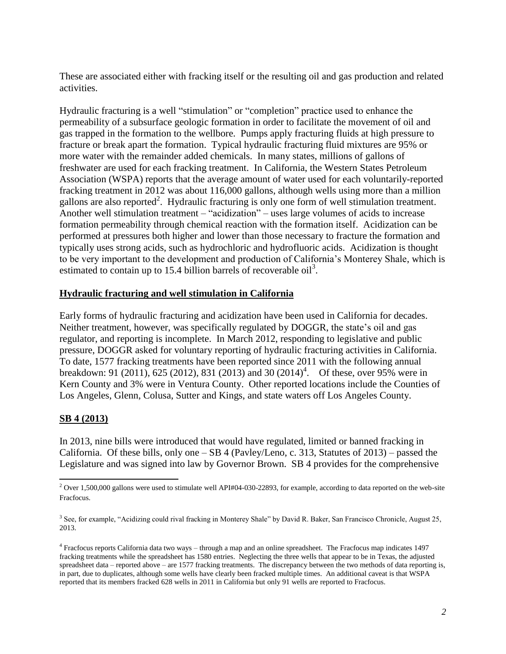These are associated either with fracking itself or the resulting oil and gas production and related activities.

Hydraulic fracturing is a well "stimulation" or "completion" practice used to enhance the permeability of a subsurface geologic formation in order to facilitate the movement of oil and gas trapped in the formation to the wellbore. Pumps apply fracturing fluids at high pressure to fracture or break apart the formation. Typical hydraulic fracturing fluid mixtures are 95% or more water with the remainder added chemicals. In many states, millions of gallons of freshwater are used for each fracking treatment. In California, the Western States Petroleum Association (WSPA) reports that the average amount of water used for each voluntarily-reported fracking treatment in 2012 was about 116,000 gallons, although wells using more than a million gallons are also reported<sup>2</sup>. Hydraulic fracturing is only one form of well stimulation treatment. Another well stimulation treatment – "acidization" – uses large volumes of acids to increase formation permeability through chemical reaction with the formation itself. Acidization can be performed at pressures both higher and lower than those necessary to fracture the formation and typically uses strong acids, such as hydrochloric and hydrofluoric acids. Acidization is thought to be very important to the development and production of California's Monterey Shale, which is estimated to contain up to 15.4 billion barrels of recoverable  $\delta$ <sup>3</sup>.

### **Hydraulic fracturing and well stimulation in California**

Early forms of hydraulic fracturing and acidization have been used in California for decades. Neither treatment, however, was specifically regulated by DOGGR, the state's oil and gas regulator, and reporting is incomplete. In March 2012, responding to legislative and public pressure, DOGGR asked for voluntary reporting of hydraulic fracturing activities in California. To date, 1577 fracking treatments have been reported since 2011 with the following annual breakdown: 91 (2011), 625 (2012), 831 (2013) and 30 (2014)<sup>4</sup>. Of these, over 95% were in Kern County and 3% were in Ventura County. Other reported locations include the Counties of Los Angeles, Glenn, Colusa, Sutter and Kings, and state waters off Los Angeles County.

### **SB 4 (2013)**

In 2013, nine bills were introduced that would have regulated, limited or banned fracking in California. Of these bills, only one – SB 4 (Pavley/Leno, c. 313, Statutes of 2013) – passed the Legislature and was signed into law by Governor Brown. SB 4 provides for the comprehensive

 $\overline{a}$  $2$  Over 1,500,000 gallons were used to stimulate well API#04-030-22893, for example, according to data reported on the web-site Fracfocus.

<sup>&</sup>lt;sup>3</sup> See, for example, "Acidizing could rival fracking in Monterey Shale" by David R. Baker, San Francisco Chronicle, August 25, 2013.

<sup>4</sup> Fracfocus reports California data two ways – through a map and an online spreadsheet. The Fracfocus map indicates 1497 fracking treatments while the spreadsheet has 1580 entries. Neglecting the three wells that appear to be in Texas, the adjusted spreadsheet data – reported above – are 1577 fracking treatments. The discrepancy between the two methods of data reporting is, in part, due to duplicates, although some wells have clearly been fracked multiple times. An additional caveat is that WSPA reported that its members fracked 628 wells in 2011 in California but only 91 wells are reported to Fracfocus.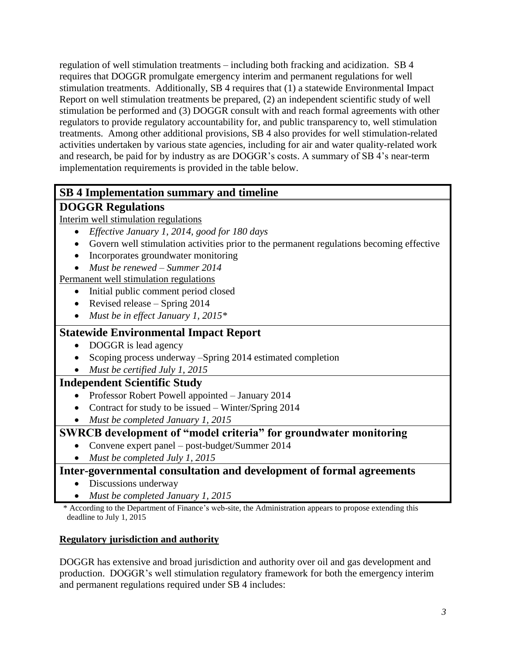regulation of well stimulation treatments – including both fracking and acidization. SB 4 requires that DOGGR promulgate emergency interim and permanent regulations for well stimulation treatments. Additionally, SB 4 requires that (1) a statewide Environmental Impact Report on well stimulation treatments be prepared, (2) an independent scientific study of well stimulation be performed and (3) DOGGR consult with and reach formal agreements with other regulators to provide regulatory accountability for, and public transparency to, well stimulation treatments. Among other additional provisions, SB 4 also provides for well stimulation-related activities undertaken by various state agencies, including for air and water quality-related work and research, be paid for by industry as are DOGGR's costs. A summary of SB 4's near-term implementation requirements is provided in the table below.

# **SB 4 Implementation summary and timeline**

# **DOGGR Regulations**

Interim well stimulation regulations

- *Effective January 1, 2014, good for 180 days*
- Govern well stimulation activities prior to the permanent regulations becoming effective
- Incorporates groundwater monitoring
- *Must be renewed – Summer 2014*

Permanent well stimulation regulations

- Initial public comment period closed
- Revised release Spring 2014
- *Must be in effect January 1, 2015\**

# **Statewide Environmental Impact Report**

- DOGGR is lead agency
- Scoping process underway –Spring 2014 estimated completion
- *Must be certified July 1, 2015*

## **Independent Scientific Study**

- Professor Robert Powell appointed January 2014
- Contract for study to be issued Winter/Spring 2014
- *Must be completed January 1, 2015*

# **SWRCB development of "model criteria" for groundwater monitoring**

- Convene expert panel post-budget/Summer 2014
- *Must be completed July 1, 2015*

# **Inter-governmental consultation and development of formal agreements**

- Discussions underway
- *Must be completed January 1, 2015*

\* According to the Department of Finance's web-site, the Administration appears to propose extending this deadline to July 1, 2015

## **Regulatory jurisdiction and authority**

DOGGR has extensive and broad jurisdiction and authority over oil and gas development and production. DOGGR's well stimulation regulatory framework for both the emergency interim and permanent regulations required under SB 4 includes: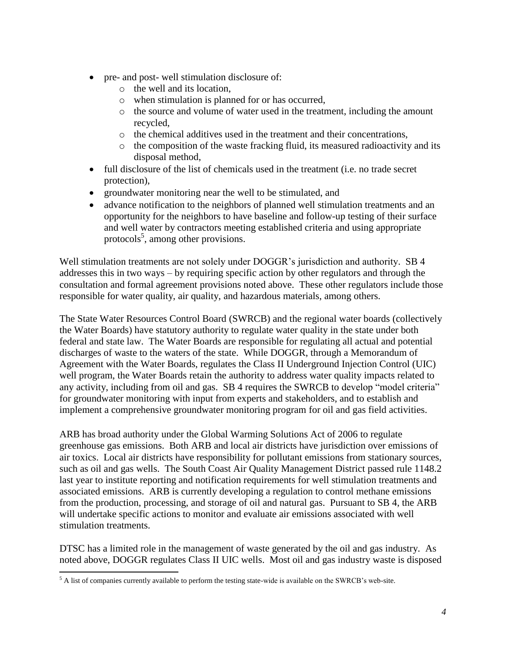- pre- and post- well stimulation disclosure of:
	- o the well and its location,
	- o when stimulation is planned for or has occurred,
	- o the source and volume of water used in the treatment, including the amount recycled,
	- o the chemical additives used in the treatment and their concentrations,
	- o the composition of the waste fracking fluid, its measured radioactivity and its disposal method,
- full disclosure of the list of chemicals used in the treatment (i.e. no trade secret protection),
- groundwater monitoring near the well to be stimulated, and
- advance notification to the neighbors of planned well stimulation treatments and an opportunity for the neighbors to have baseline and follow-up testing of their surface and well water by contractors meeting established criteria and using appropriate protocols<sup>5</sup>, among other provisions.

Well stimulation treatments are not solely under DOGGR's jurisdiction and authority. SB 4 addresses this in two ways – by requiring specific action by other regulators and through the consultation and formal agreement provisions noted above. These other regulators include those responsible for water quality, air quality, and hazardous materials, among others.

The State Water Resources Control Board (SWRCB) and the regional water boards (collectively the Water Boards) have statutory authority to regulate water quality in the state under both federal and state law. The Water Boards are responsible for regulating all actual and potential discharges of waste to the waters of the state. While DOGGR, through a Memorandum of Agreement with the Water Boards, regulates the Class II Underground Injection Control (UIC) well program, the Water Boards retain the authority to address water quality impacts related to any activity, including from oil and gas. SB 4 requires the SWRCB to develop "model criteria" for groundwater monitoring with input from experts and stakeholders, and to establish and implement a comprehensive groundwater monitoring program for oil and gas field activities.

ARB has broad authority under the Global Warming Solutions Act of 2006 to regulate greenhouse gas emissions. Both ARB and local air districts have jurisdiction over emissions of air toxics. Local air districts have responsibility for pollutant emissions from stationary sources, such as oil and gas wells. The South Coast Air Quality Management District passed rule 1148.2 last year to institute reporting and notification requirements for well stimulation treatments and associated emissions. ARB is currently developing a regulation to control methane emissions from the production, processing, and storage of oil and natural gas. Pursuant to SB 4, the ARB will undertake specific actions to monitor and evaluate air emissions associated with well stimulation treatments.

DTSC has a limited role in the management of waste generated by the oil and gas industry. As noted above, DOGGR regulates Class II UIC wells. Most oil and gas industry waste is disposed

 $\overline{a}$  $5$  A list of companies currently available to perform the testing state-wide is available on the SWRCB's web-site.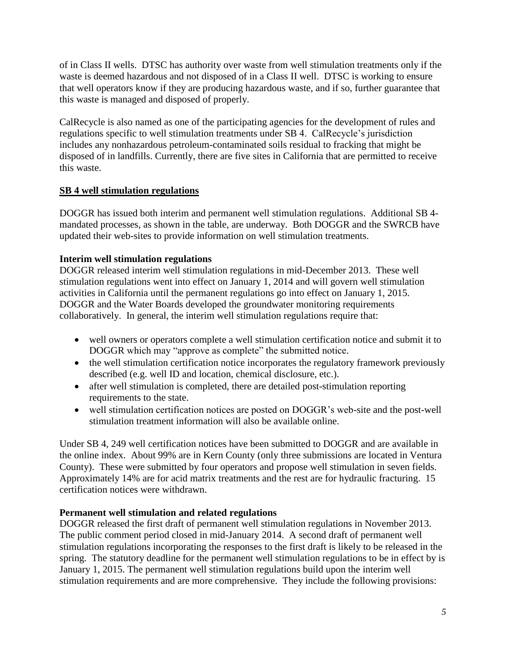of in Class II wells. DTSC has authority over waste from well stimulation treatments only if the waste is deemed hazardous and not disposed of in a Class II well. DTSC is working to ensure that well operators know if they are producing hazardous waste, and if so, further guarantee that this waste is managed and disposed of properly.

CalRecycle is also named as one of the participating agencies for the development of rules and regulations specific to well stimulation treatments under SB 4. CalRecycle's jurisdiction includes any nonhazardous petroleum-contaminated soils residual to fracking that might be disposed of in landfills. Currently, there are five sites in California that are permitted to receive this waste.

### **SB 4 well stimulation regulations**

DOGGR has issued both interim and permanent well stimulation regulations. Additional SB 4 mandated processes, as shown in the table, are underway. Both DOGGR and the SWRCB have updated their web-sites to provide information on well stimulation treatments.

## **Interim well stimulation regulations**

DOGGR released interim well stimulation regulations in mid-December 2013. These well stimulation regulations went into effect on January 1, 2014 and will govern well stimulation activities in California until the permanent regulations go into effect on January 1, 2015. DOGGR and the Water Boards developed the groundwater monitoring requirements collaboratively. In general, the interim well stimulation regulations require that:

- well owners or operators complete a well stimulation certification notice and submit it to DOGGR which may "approve as complete" the submitted notice.
- the well stimulation certification notice incorporates the regulatory framework previously described (e.g. well ID and location, chemical disclosure, etc.).
- after well stimulation is completed, there are detailed post-stimulation reporting requirements to the state.
- well stimulation certification notices are posted on DOGGR's web-site and the post-well stimulation treatment information will also be available online.

Under SB 4, 249 well certification notices have been submitted to DOGGR and are available in the online index. About 99% are in Kern County (only three submissions are located in Ventura County). These were submitted by four operators and propose well stimulation in seven fields. Approximately 14% are for acid matrix treatments and the rest are for hydraulic fracturing. 15 certification notices were withdrawn.

### **Permanent well stimulation and related regulations**

DOGGR released the first draft of permanent well stimulation regulations in November 2013. The public comment period closed in mid-January 2014. A second draft of permanent well stimulation regulations incorporating the responses to the first draft is likely to be released in the spring. The statutory deadline for the permanent well stimulation regulations to be in effect by is January 1, 2015. The permanent well stimulation regulations build upon the interim well stimulation requirements and are more comprehensive. They include the following provisions: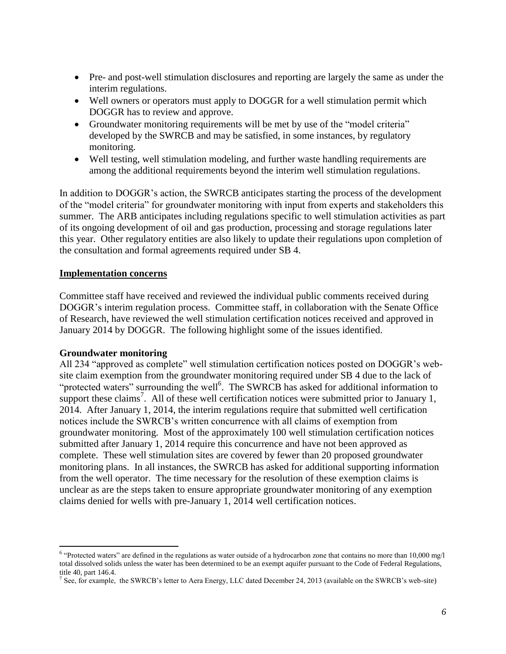- Pre- and post-well stimulation disclosures and reporting are largely the same as under the interim regulations.
- Well owners or operators must apply to DOGGR for a well stimulation permit which DOGGR has to review and approve.
- Groundwater monitoring requirements will be met by use of the "model criteria" developed by the SWRCB and may be satisfied, in some instances, by regulatory monitoring.
- Well testing, well stimulation modeling, and further waste handling requirements are among the additional requirements beyond the interim well stimulation regulations.

In addition to DOGGR's action, the SWRCB anticipates starting the process of the development of the "model criteria" for groundwater monitoring with input from experts and stakeholders this summer. The ARB anticipates including regulations specific to well stimulation activities as part of its ongoing development of oil and gas production, processing and storage regulations later this year. Other regulatory entities are also likely to update their regulations upon completion of the consultation and formal agreements required under SB 4.

### **Implementation concerns**

Committee staff have received and reviewed the individual public comments received during DOGGR's interim regulation process. Committee staff, in collaboration with the Senate Office of Research, have reviewed the well stimulation certification notices received and approved in January 2014 by DOGGR. The following highlight some of the issues identified.

### **Groundwater monitoring**

All 234 "approved as complete" well stimulation certification notices posted on DOGGR's website claim exemption from the groundwater monitoring required under SB 4 due to the lack of "protected waters" surrounding the well<sup>6</sup>. The SWRCB has asked for additional information to support these claims<sup>7</sup>. All of these well certification notices were submitted prior to January 1, 2014. After January 1, 2014, the interim regulations require that submitted well certification notices include the SWRCB's written concurrence with all claims of exemption from groundwater monitoring. Most of the approximately 100 well stimulation certification notices submitted after January 1, 2014 require this concurrence and have not been approved as complete. These well stimulation sites are covered by fewer than 20 proposed groundwater monitoring plans. In all instances, the SWRCB has asked for additional supporting information from the well operator. The time necessary for the resolution of these exemption claims is unclear as are the steps taken to ensure appropriate groundwater monitoring of any exemption claims denied for wells with pre-January 1, 2014 well certification notices.

<sup>&</sup>lt;sup>6</sup> "Protected waters" are defined in the regulations as water outside of a hydrocarbon zone that contains no more than 10,000 mg/l total dissolved solids unless the water has been determined to be an exempt aquifer pursuant to the Code of Federal Regulations, title 40, part 146.4.

 $^7$  See, for example, the SWRCB's letter to Aera Energy, LLC dated December 24, 2013 (available on the SWRCB's web-site)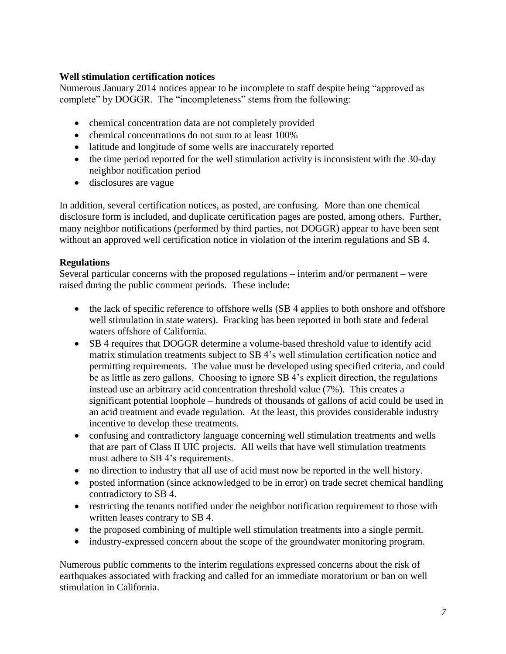## **Well stimulation certification notices**

Numerous January 2014 notices appear to be incomplete to staff despite being "approved as complete" by DOGGR. The "incompleteness" stems from the following:

- chemical concentration data are not completely provided
- chemical concentrations do not sum to at least 100%
- latitude and longitude of some wells are inaccurately reported
- $\bullet$  the time period reported for the well stimulation activity is inconsistent with the 30-day neighbor notification period
- disclosures are vague

In addition, several certification notices, as posted, are confusing. More than one chemical disclosure form is included, and duplicate certification pages are posted, among others. Further, many neighbor notifications (performed by third parties, not DOGGR) appear to have been sent without an approved well certification notice in violation of the interim regulations and SB 4.

### **Regulations**

Several particular concerns with the proposed regulations – interim and/or permanent – were raised during the public comment periods. These include:

- the lack of specific reference to offshore wells (SB 4 applies to both onshore and offshore well stimulation in state waters). Fracking has been reported in both state and federal waters offshore of California.
- SB 4 requires that DOGGR determine a volume-based threshold value to identify acid matrix stimulation treatments subject to SB 4's well stimulation certification notice and permitting requirements. The value must be developed using specified criteria, and could be as little as zero gallons. Choosing to ignore SB 4's explicit direction, the regulations instead use an arbitrary acid concentration threshold value (7%). This creates a significant potential loophole – hundreds of thousands of gallons of acid could be used in an acid treatment and evade regulation. At the least, this provides considerable industry incentive to develop these treatments.
- confusing and contradictory language concerning well stimulation treatments and wells that are part of Class II UIC projects. All wells that have well stimulation treatments must adhere to SB 4's requirements.
- no direction to industry that all use of acid must now be reported in the well history.
- posted information (since acknowledged to be in error) on trade secret chemical handling contradictory to SB 4.
- restricting the tenants notified under the neighbor notification requirement to those with written leases contrary to SB 4.
- the proposed combining of multiple well stimulation treatments into a single permit.
- industry-expressed concern about the scope of the groundwater monitoring program.

Numerous public comments to the interim regulations expressed concerns about the risk of earthquakes associated with fracking and called for an immediate moratorium or ban on well stimulation in California.